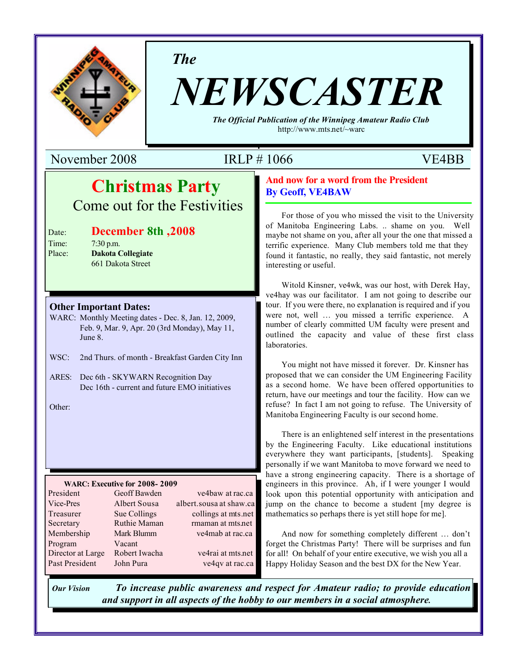

*The*

# *NEWSCASTER*

*The Official Publication of the Winnipeg Amateur Radio Club* http://www.mts.net/~warc

November 2008 IRLP # 1066 VE4BB

# **Christmas Party** Come out for the Festivities

#### **Date: December 8th, 2008 Example:** 7:30 p.m.

Place: **Dakota Collegiate 1008 1008 7:30 PM 1008 7:30 PM** 

#### **Other Important Dates:**

- WARC: Monthly Meeting dates Dec. 8, Jan. 12, 2009, Feb. 9, Mar. 9, Apr. 20 (3rd Monday), May 11, June 8.
- WSC: 2nd Thurs. of month Breakfast Garden City Inn
- ARES: Dec 6th SKYWARN Recognition Day Dec 16th - current and future EMO initiatives

Other:

#### **WARC: Executive for 2008- 2009**

| President         | Geoff Bawden  | ve4baw at rac.ca        |
|-------------------|---------------|-------------------------|
| Vice-Pres         | Albert Sousa  | albert.sousa at shaw.ca |
| Treasurer         | Sue Collings  | collings at mts.net     |
| Secretary         | Ruthie Maman  | rmaman at mts.net       |
| Membership        | Mark Blumm    | ve4mab at rac.ca        |
| Program           | Vacant        |                         |
| Director at Large | Robert Iwacha | ve4rai at mts.net       |
| Past President    | John Pura     | ve4qv at rac.ca         |

#### **And now for a word from the President By Geoff, VE4BAW**

For those of you who missed the visit to the University of Manitoba Engineering Labs. .. shame on you. Well maybe not shame on you, after all your the one that missed a terrific experience. Many Club members told me that they found it fantastic, no really, they said fantastic, not merely interesting or useful.

Witold Kinsner, ve4wk, was our host, with Derek Hay, ve4hay was our facilitator. I am not going to describe our tour. If you were there, no explanation is required and if you were not, well … you missed a terrific experience. A number of clearly committed UM faculty were present and outlined the capacity and value of these first class laboratories.

You might not have missed it forever. Dr. Kinsner has proposed that we can consider the UM Engineering Facility as a second home. We have been offered opportunities to return, have our meetings and tour the facility. How can we refuse? In fact I am not going to refuse. The University of Manitoba Engineering Faculty is our second home.

There is an enlightened self interest in the presentations by the Engineering Faculty. Like educational institutions everywhere they want participants, [students]. Speaking personally if we want Manitoba to move forward we need to have a strong engineering capacity. There is a shortage of engineers in this province. Ah, if I were younger I would look upon this potential opportunity with anticipation and jump on the chance to become a student [my degree is mathematics so perhaps there is yet still hope for me].

And now for something completely different … don't forget the Christmas Party! There will be surprises and fun for all! On behalf of your entire executive, we wish you all a Happy Holiday Season and the best DX for the New Year.

*Our Vision To increase public awareness and respect for Amateur radio; to provide education and support in all aspects of the hobby to our members in a social atmosphere.*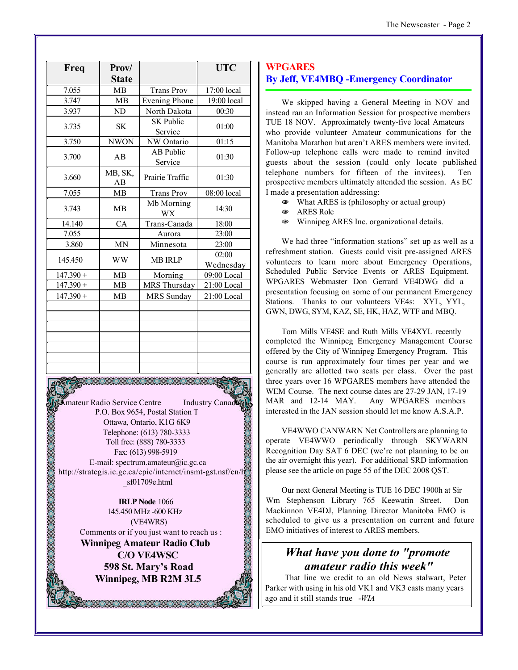| Freq        | Prov/         |                             | <b>UTC</b>         |
|-------------|---------------|-----------------------------|--------------------|
|             | <b>State</b>  |                             |                    |
| 7.055       | <b>MB</b>     | <b>Trans Prov</b>           | 17:00 local        |
| 3.747       | <b>MB</b>     | <b>Evening Phone</b>        | 19:00 local        |
| 3.937       | ND            | North Dakota                | 00:30              |
| 3.735       | <b>SK</b>     | <b>SK Public</b><br>Service | 01:00              |
| 3.750       | <b>NWON</b>   | NW Ontario                  | 01:15              |
| 3.700       | AB            | <b>AB Public</b><br>Service | 01:30              |
| 3.660       | MB, SK,<br>AB | Prairie Traffic             | 01:30              |
| 7.055       | MB            | <b>Trans Prov</b>           | 08:00 local        |
| 3.743       | <b>MB</b>     | Mb Morning<br><b>WX</b>     | 14:30              |
| 14.140      | CA            | Trans-Canada                | 18:00              |
| 7.055       |               | Aurora                      | 23:00              |
| 3.860       | <b>MN</b>     | Minnesota                   | 23:00              |
| 145.450     | <b>WW</b>     | <b>MB IRLP</b>              | 02:00<br>Wednesday |
| $147.390 +$ | <b>MB</b>     | Morning                     | 09:00 Local        |
| $147.390 +$ | <b>MB</b>     | MRS Thursday                | 21:00 Local        |
| $147.390 +$ | <b>MB</b>     | MRS Sunday                  | 21:00 Local        |
|             |               |                             |                    |
|             |               |                             |                    |
|             |               |                             |                    |
|             |               |                             |                    |

**Amateur Radio Service Centre** Industry Canad P.O. Box 9654, Postal Station T Ottawa, Ontario, K1G 6K9 Telephone: (613) 780-3333 Toll free: (888) 780-3333 Fax: (613) 998-5919 E-mail: spectrum.amateur@ic.gc.ca http://strategis.ic.gc.ca/epic/internet/insmt-gst.nsf/en/h \_sf01709e.html

**IRLP Node** 1066 145.450 MHz -600 KHz (VE4WRS) Comments or if you just want to reach us :

**Winnipeg Amateur Radio Club C/O VE4WSC 598 St. Mary's Road Winnipeg, MB R2M 3L5**

88. 88. 88. 88. 88. 88

#### **WPGARES By Jeff, VE4MBQ -Emergency Coordinator**

We skipped having a General Meeting in NOV and instead ran an Information Session for prospective members TUE 18 NOV. Approximately twenty-five local Amateurs who provide volunteer Amateur communications for the Manitoba Marathon but aren't ARES members were invited. Follow-up telephone calls were made to remind invited guests about the session (could only locate published telephone numbers for fifteen of the invitees). Ten prospective members ultimately attended the session. As EC I made a presentation addressing:

- N What ARES is (philosophy or actual group)
- ARES Role
- $\bullet$  Winnipeg ARES Inc. organizational details.

We had three "information stations" set up as well as a refreshment station. Guests could visit pre-assigned ARES volunteers to learn more about Emergency Operations, Scheduled Public Service Events or ARES Equipment. WPGARES Webmaster Don Gerrard VE4DWG did a presentation focusing on some of our permanent Emergency Stations. Thanks to our volunteers VE4s: XYL, YYL, GWN, DWG, SYM, KAZ, SE, HK, HAZ, WTF and MBQ.

Tom Mills VE4SE and Ruth Mills VE4XYL recently completed the Winnipeg Emergency Management Course offered by the City of Winnipeg Emergency Program. This course is run approximately four times per year and we generally are allotted two seats per class. Over the past three years over 16 WPGARES members have attended the WEM Course. The next course dates are 27-29 JAN, 17-19 MAR and 12-14 MAY. Any WPGARES members interested in the JAN session should let me know A.S.A.P.

VE4WWO CANWARN Net Controllers are planning to operate VE4WWO periodically through SKYWARN Recognition Day SAT 6 DEC (we're not planning to be on the air overnight this year). For additional SRD information please see the article on page 55 of the DEC 2008 QST.

Our next General Meeting is TUE 16 DEC 1900h at Sir Wm Stephenson Library 765 Keewatin Street. Don Mackinnon VE4DJ, Planning Director Manitoba EMO is scheduled to give us a presentation on current and future EMO initiatives of interest to ARES members.

## *What have you done to "promote amateur radio this week"*

 That line we credit to an old News stalwart, Peter Parker with using in his old VK1 and VK3 casts many years ago and it still stands true *-WIA*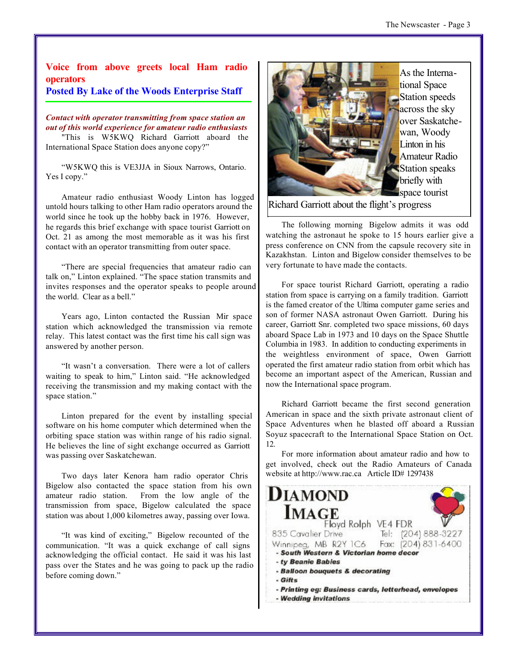### **Voice from above greets local Ham radio operators**

#### **Posted By Lake of the Woods Enterprise Staff**

*Contact with operator transmitting from space station an out of this world experience for amateur radio enthusiasts*

"This is W5KWQ Richard Garriott aboard the International Space Station does anyone copy?"

"W5KWQ this is VE3JJA in Sioux Narrows, Ontario. Yes I copy."

Amateur radio enthusiast Woody Linton has logged untold hours talking to other Ham radio operators around the world since he took up the hobby back in 1976. However, he regards this brief exchange with space tourist Garriott on Oct. 21 as among the most memorable as it was his first contact with an operator transmitting from outer space.

"There are special frequencies that amateur radio can talk on," Linton explained. "The space station transmits and invites responses and the operator speaks to people around the world. Clear as a bell."

Years ago, Linton contacted the Russian Mir space station which acknowledged the transmission via remote relay. This latest contact was the first time his call sign was answered by another person.

"It wasn't a conversation. There were a lot of callers waiting to speak to him," Linton said. "He acknowledged receiving the transmission and my making contact with the space station."

Linton prepared for the event by installing special software on his home computer which determined when the orbiting space station was within range of his radio signal. He believes the line of sight exchange occurred as Garriott was passing over Saskatchewan.

Two days later Kenora ham radio operator Chris Bigelow also contacted the space station from his own amateur radio station. From the low angle of the transmission from space, Bigelow calculated the space station was about 1,000 kilometres away, passing over Iowa.

"It was kind of exciting," Bigelow recounted of the communication. "It was a quick exchange of call signs acknowledging the official contact. He said it was his last pass over the States and he was going to pack up the radio before coming down."



As the International Space Station speeds across the sky over Saskatchewan, Woody Linton in his Amateur Radio Station speaks briefly with space tourist

Richard Garriott about the flight's progress

The following morning Bigelow admits it was odd watching the astronaut he spoke to 15 hours earlier give a press conference on CNN from the capsule recovery site in Kazakhstan. Linton and Bigelow consider themselves to be very fortunate to have made the contacts.

For space tourist Richard Garriott, operating a radio station from space is carrying on a family tradition. Garriott is the famed creator of the Ultima computer game series and son of former NASA astronaut Owen Garriott. During his career, Garriott Snr. completed two space missions, 60 days aboard Space Lab in 1973 and 10 days on the Space Shuttle Columbia in 1983. In addition to conducting experiments in the weightless environment of space, Owen Garriott operated the first amateur radio station from orbit which has become an important aspect of the American, Russian and now the International space program.

Richard Garriott became the first second generation American in space and the sixth private astronaut client of Space Adventures when he blasted off aboard a Russian Soyuz spacecraft to the International Space Station on Oct. 12.

For more information about amateur radio and how to get involved, check out the Radio Amateurs of Canada website at http://www.rac.ca Article ID# 1297438

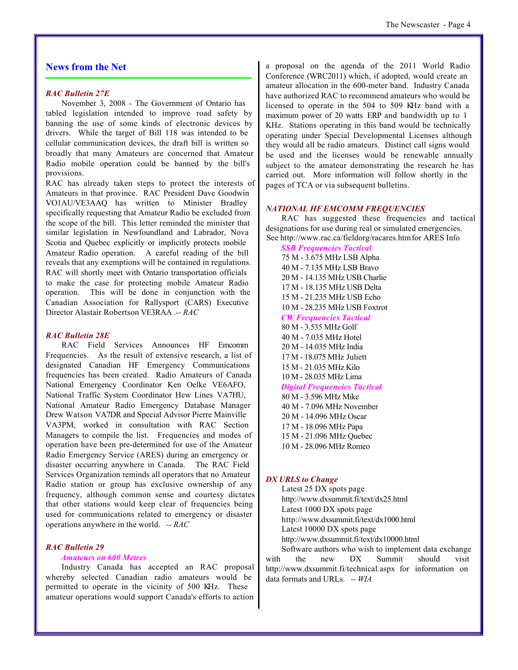#### **News from the Net**

#### *RAC Bulletin 27E*

November 3, 2008 - The Government of Ontario has tabled legislation intended to improve road safety by banning the use of some kinds of electronic devices by drivers. While the target of Bill 118 was intended to be cellular communication devices, the draft bill is written so broadly that many Amateurs are concerned that Amateur Radio mobile operation could be banned by the bill's provisions.

RAC has already taken steps to protect the interests of Amateurs in that province. RAC President Dave Goodwin VO1AU/VE3AAQ has written to Minister Bradley specifically requesting that Amateur Radio be excluded from the scope of the bill. This letter reminded the minister that similar legislation in Newfoundland and Labrador, Nova Scotia and Quebec explicitly or implicitly protects mobile Amateur Radio operation. A careful reading of the bill reveals that any exemptions will be contained in regulations. RAC will shortly meet with Ontario transportation officials to make the case for protecting mobile Amateur Radio operation. This will be done in conjunction with the Canadian Association for Rallysport (CARS) Executive Director Alastair Robertson VE3RAA .*-- RAC*

#### *RAC Bulletin 28E*

RAC Field Services Announces HF Emcomm Frequencies. As the result of extensive research, a list of designated Canadian HF Emergency Communications frequencies has been created. Radio Amateurs of Canada National Emergency Coordinator Ken Oelke VE6AFO, National Traffic System Coordinator Hew Lines VA7HU, National Amateur Radio Emergency Database Manager Drew Watson VA7DR and Special Advisor Pierre Mainville VA3PM, worked in consultation with RAC Section Managers to compile the list. Frequencies and modes of operation have been pre-determined for use of the Amateur Radio Emergency Service (ARES) during an emergency or disaster occurring anywhere in Canada. The RAC Field Services Organization reminds all operators that no Amateur Radio station or group has exclusive ownership of any frequency, although common sense and courtesy dictates that other stations would keep clear of frequencies being used for communications related to emergency or disaster operations anywhere in the world. *-- RAC*

#### *RAC Bulletin 29*

#### *Amateurs on 600 Metres*

Industry Canada has accepted an RAC proposal whereby selected Canadian radio amateurs would be permitted to operate in the vicinity of 500 KHz. These amateur operations would support Canada's efforts to action a proposal on the agenda of the 2011 World Radio Conference (WRC2011) which, if adopted, would create an amateur allocation in the 600-meter band. Industry Canada have authorized RAC to recommend amateurs who would be licensed to operate in the 504 to 509 KHz band with a maximum power of 20 watts ERP and bandwidth up to 1 KHz. Stations operating in this band would be technically operating under Special Developmental Licenses although they would all be radio amateurs. Distinct call signs would be used and the licenses would be renewable annually subject to the amateur demonstrating the research he has carried out. More information will follow shortly in the pages of TCA or via subsequent bulletins.

#### *NATIONAL HF EMCOMM FREQUENCIES*

RAC has suggested these frequencies and tactical designations for use during real or simulated emergencies. See http://www.rac.ca/fieldorg/racares.htm for ARES Info

*SSB Frequencies Tactical* 75 M - 3.675 MHz LSB Alpha 40 M - 7.135 MHz LSB Bravo 20 M - 14.135 MHz USB Charlie 17 M - 18.135 MHz USB Delta 15 M - 21.235 MHz USB Echo 10 M - 28.235 MHz USB Foxtrot *CW Frequencies Tactical* 80 M - 3.535 MHz Golf 40 M - 7.035 MHz Hotel 20 M - 14.035 MHz India 17 M - 18.075 MHz Juliett 15 M - 21.035 MHz Kilo 10 M - 28.035 MHz Lima *Digital Frequencies Tactical* 80 M - 3.596 MHz Mike 40 M - 7.096 MHz November 20 M - 14.096 MHz Oscar

17 M - 18.096 MHz Papa 15 M - 21.096 MHz Quebec

10 M - 28.096 MHz Romeo

#### *DX URLS to Change*

Latest 25 DX spots page http://www.dxsummit.fi/text/dx25.html Latest 1000 DX spots page http://www.dxsummit.fi/text/dx1000.html Latest 10000 DX spots page http://www.dxsummit.fi/text/dx10000.html

Software authors who wish to implement data exchange with the new DX Summit should visit http://www.dxsummit.fi/technical.aspx for information on data formats and URLs. *-- WIA*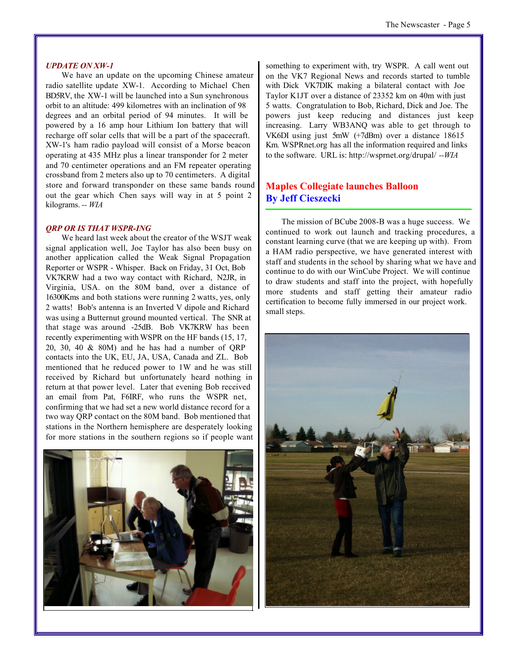#### *UPDATE ON XW-1*

We have an update on the upcoming Chinese amateur radio satellite update XW-1. According to Michael Chen BD5RV, the XW-1 will be launched into a Sun synchronous orbit to an altitude: 499 kilometres with an inclination of 98 degrees and an orbital period of 94 minutes. It will be powered by a 16 amp hour Lithium Ion battery that will recharge off solar cells that will be a part of the spacecraft. XW-1's ham radio payload will consist of a Morse beacon operating at 435 MHz plus a linear transponder for 2 meter and 70 centimeter operations and an FM repeater operating crossband from 2 meters also up to 70 centimeters. A digital store and forward transponder on these same bands round out the gear which Chen says will way in at 5 point 2 kilograms. *-- WIA*

#### *QRP OR IS THAT WSPR-ING*

We heard last week about the creator of the WSJT weak signal application well, Joe Taylor has also been busy on another application called the Weak Signal Propagation Reporter or WSPR - Whisper. Back on Friday, 31 Oct, Bob VK7KRW had a two way contact with Richard, N2JR, in Virginia, USA. on the 80M band, over a distance of 16300Kms and both stations were running 2 watts, yes, only 2 watts! Bob's antenna is an Inverted V dipole and Richard was using a Butternut ground mounted vertical. The SNR at that stage was around -25dB. Bob VK7KRW has been recently experimenting with WSPR on the HF bands (15, 17, 20, 30, 40  $\&$  80M) and he has had a number of QRP contacts into the UK, EU, JA, USA, Canada and ZL. Bob mentioned that he reduced power to 1W and he was still received by Richard but unfortunately heard nothing in return at that power level. Later that evening Bob received an email from Pat, F6IRF, who runs the WSPR net, confirming that we had set a new world distance record for a two way QRP contact on the 80M band. Bob mentioned that stations in the Northern hemisphere are desperately looking for more stations in the southern regions so if people want



something to experiment with, try WSPR. A call went out on the VK7 Regional News and records started to tumble with Dick VK7DIK making a bilateral contact with Joe Taylor K1JT over a distance of 23352 km on 40m with just 5 watts. Congratulation to Bob, Richard, Dick and Joe. The powers just keep reducing and distances just keep increasing. Larry WB3ANQ was able to get through to VK6DI using just 5mW (+7dBm) over a distance 18615 Km. WSPRnet.org has all the information required and links to the software. URL is: http://wsprnet.org/drupal/ *--WIA*

#### **Maples Collegiate launches Balloon By Jeff Cieszecki**

The mission of BCube 2008-B was a huge success. We continued to work out launch and tracking procedures, a constant learning curve (that we are keeping up with). From a HAM radio perspective, we have generated interest with staff and students in the school by sharing what we have and continue to do with our WinCube Project. We will continue to draw students and staff into the project, with hopefully more students and staff getting their amateur radio certification to become fully immersed in our project work. small steps.

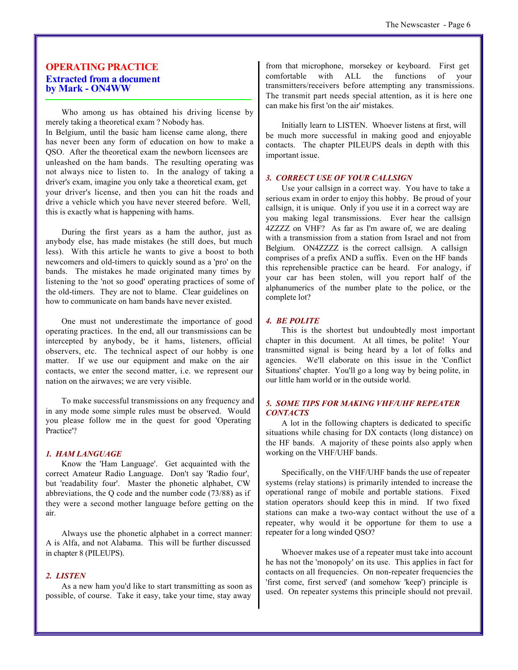#### **OPERATING PRACTICE Extracted from a document by Mark - ON4WW**

Who among us has obtained his driving license by merely taking a theoretical exam ? Nobody has. In Belgium, until the basic ham license came along, there has never been any form of education on how to make a QSO. After the theoretical exam the newborn licensees are unleashed on the ham bands. The resulting operating was not always nice to listen to. In the analogy of taking a driver's exam, imagine you only take a theoretical exam, get your driver's license, and then you can hit the roads and drive a vehicle which you have never steered before. Well, this is exactly what is happening with hams.

During the first years as a ham the author, just as anybody else, has made mistakes (he still does, but much less). With this article he wants to give a boost to both newcomers and old-timers to quickly sound as a 'pro' on the bands. The mistakes he made originated many times by listening to the 'not so good' operating practices of some of the old-timers. They are not to blame. Clear guidelines on how to communicate on ham bands have never existed.

One must not underestimate the importance of good operating practices. In the end, all our transmissions can be intercepted by anybody, be it hams, listeners, official observers, etc. The technical aspect of our hobby is one matter. If we use our equipment and make on the air contacts, we enter the second matter, i.e. we represent our nation on the airwaves; we are very visible.

To make successful transmissions on any frequency and in any mode some simple rules must be observed. Would you please follow me in the quest for good 'Operating Practice'?

#### *1. HAM LANGUAGE*

Know the 'Ham Language'. Get acquainted with the correct Amateur Radio Language. Don't say 'Radio four', but 'readability four'. Master the phonetic alphabet, CW abbreviations, the Q code and the number code (73/88) as if they were a second mother language before getting on the air.

Always use the phonetic alphabet in a correct manner: A is Alfa, and not Alabama. This will be further discussed in chapter 8 (PILEUPS).

#### *2. LISTEN*

As a new ham you'd like to start transmitting as soon as possible, of course. Take it easy, take your time, stay away

from that microphone, morsekey or keyboard. First get comfortable with ALL the functions of your transmitters/receivers before attempting any transmissions. The transmit part needs special attention, as it is here one can make his first 'on the air' mistakes.

Initially learn to LISTEN. Whoever listens at first, will be much more successful in making good and enjoyable contacts. The chapter PILEUPS deals in depth with this important issue.

#### *3. CORRECT USE OF YOUR CALLSIGN*

Use your callsign in a correct way. You have to take a serious exam in order to enjoy this hobby. Be proud of your callsign, it is unique. Only if you use it in a correct way are you making legal transmissions. Ever hear the callsign 4ZZZZ on VHF? As far as I'm aware of, we are dealing with a transmission from a station from Israel and not from Belgium. ON4ZZZZ is the correct callsign. A callsign comprises of a prefix AND a suffix. Even on the HF bands this reprehensible practice can be heard. For analogy, if your car has been stolen, will you report half of the alphanumerics of the number plate to the police, or the complete lot?

#### *4. BE POLITE*

This is the shortest but undoubtedly most important chapter in this document. At all times, be polite! Your transmitted signal is being heard by a lot of folks and agencies. We'll elaborate on this issue in the 'Conflict Situations' chapter. You'll go a long way by being polite, in our little ham world or in the outside world.

#### *5. SOME TIPS FOR MAKING VHF/UHF REPEATER CONTACTS*

A lot in the following chapters is dedicated to specific situations while chasing for DX contacts (long distance) on the HF bands. A majority of these points also apply when working on the VHF/UHF bands.

Specifically, on the VHF/UHF bands the use of repeater systems (relay stations) is primarily intended to increase the operational range of mobile and portable stations. Fixed station operators should keep this in mind. If two fixed stations can make a two-way contact without the use of a repeater, why would it be opportune for them to use a repeater for a long winded QSO?

Whoever makes use of a repeater must take into account he has not the 'monopoly' on its use. This applies in fact for contacts on all frequencies. On non-repeater frequencies the 'first come, first served' (and somehow 'keep') principle is used. On repeater systems this principle should not prevail.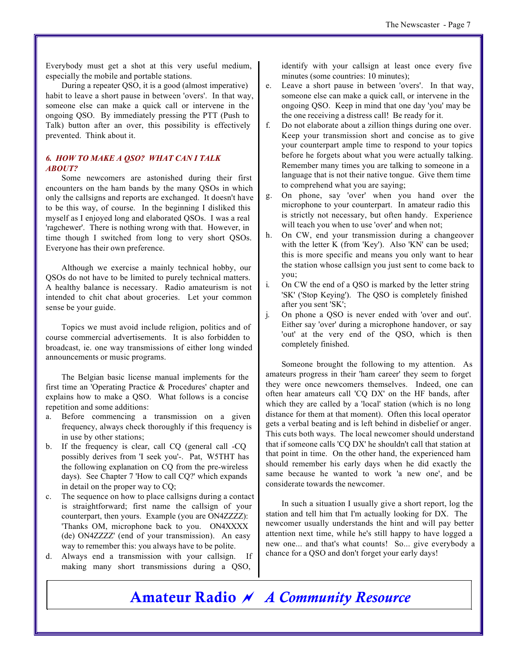Everybody must get a shot at this very useful medium, especially the mobile and portable stations.

During a repeater QSO, it is a good (almost imperative) habit to leave a short pause in between 'overs'. In that way, someone else can make a quick call or intervene in the ongoing QSO. By immediately pressing the PTT (Push to Talk) button after an over, this possibility is effectively prevented. Think about it.

#### *6. HOW TO MAKE A QSO? WHAT CAN I TALK ABOUT?*

Some newcomers are astonished during their first encounters on the ham bands by the many QSOs in which only the callsigns and reports are exchanged. It doesn't have to be this way, of course. In the beginning I disliked this myself as I enjoyed long and elaborated QSOs. I was a real 'ragchewer'. There is nothing wrong with that. However, in time though I switched from long to very short QSOs. Everyone has their own preference.

Although we exercise a mainly technical hobby, our QSOs do not have to be limited to purely technical matters. A healthy balance is necessary. Radio amateurism is not intended to chit chat about groceries. Let your common sense be your guide.

Topics we must avoid include religion, politics and of course commercial advertisements. It is also forbidden to broadcast, ie. one way transmissions of either long winded announcements or music programs.

The Belgian basic license manual implements for the first time an 'Operating Practice & Procedures' chapter and explains how to make a QSO. What follows is a concise repetition and some additions:

- a. Before commencing a transmission on a given frequency, always check thoroughly if this frequency is in use by other stations;
- b. If the frequency is clear, call CQ (general call -CQ possibly derives from 'I seek you'-. Pat, W5THT has the following explanation on CQ from the pre-wireless days). See Chapter 7 'How to call CQ?' which expands in detail on the proper way to CQ;
- c. The sequence on how to place callsigns during a contact is straightforward; first name the callsign of your counterpart, then yours. Example (you are ON4ZZZZ): 'Thanks OM, microphone back to you. ON4XXXX (de) ON4ZZZZ' (end of your transmission). An easy way to remember this: you always have to be polite.
- d. Always end a transmission with your callsign. If making many short transmissions during a QSO,

identify with your callsign at least once every five minutes (some countries: 10 minutes);

- e. Leave a short pause in between 'overs'. In that way, someone else can make a quick call, or intervene in the ongoing QSO. Keep in mind that one day 'you' may be the one receiving a distress call! Be ready for it.
- f. Do not elaborate about a zillion things during one over. Keep your transmission short and concise as to give your counterpart ample time to respond to your topics before he forgets about what you were actually talking. Remember many times you are talking to someone in a language that is not their native tongue. Give them time to comprehend what you are saying;
- g. On phone, say 'over' when you hand over the microphone to your counterpart. In amateur radio this is strictly not necessary, but often handy. Experience will teach you when to use 'over' and when not;
- h. On CW, end your transmission during a changeover with the letter K (from 'Key'). Also 'KN' can be used; this is more specific and means you only want to hear the station whose callsign you just sent to come back to you;
- i. On CW the end of a QSO is marked by the letter string 'SK' ('Stop Keying'). The QSO is completely finished after you sent 'SK';
- j. On phone a QSO is never ended with 'over and out'. Either say 'over' during a microphone handover, or say 'out' at the very end of the QSO, which is then completely finished.

Someone brought the following to my attention. As amateurs progress in their 'ham career' they seem to forget they were once newcomers themselves. Indeed, one can often hear amateurs call 'CQ DX' on the HF bands, after which they are called by a 'local' station (which is no long distance for them at that moment). Often this local operator gets a verbal beating and is left behind in disbelief or anger. This cuts both ways. The local newcomer should understand that if someone calls 'CQ DX' he shouldn't call that station at that point in time. On the other hand, the experienced ham should remember his early days when he did exactly the same because he wanted to work 'a new one', and be considerate towards the newcomer.

In such a situation I usually give a short report, log the station and tell him that I'm actually looking for DX. The newcomer usually understands the hint and will pay better attention next time, while he's still happy to have logged a new one... and that's what counts! So... give everybody a chance for a QSO and don't forget your early days!

## **Amateur Radio** ~ *A Community Resource*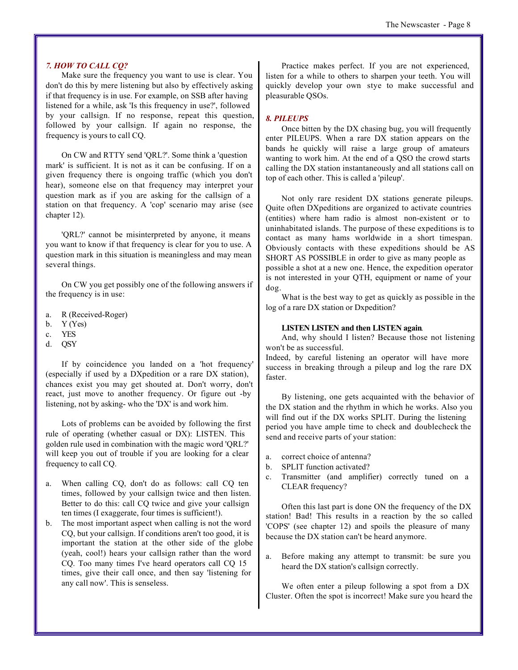#### *7. HOW TO CALL CQ?*

Make sure the frequency you want to use is clear. You don't do this by mere listening but also by effectively asking if that frequency is in use. For example, on SSB after having listened for a while, ask 'Is this frequency in use?', followed by your callsign. If no response, repeat this question, followed by your callsign. If again no response, the frequency is yours to call CQ.

On CW and RTTY send 'QRL?'. Some think a 'question mark' is sufficient. It is not as it can be confusing. If on a given frequency there is ongoing traffic (which you don't hear), someone else on that frequency may interpret your question mark as if you are asking for the callsign of a station on that frequency. A 'cop' scenario may arise (see chapter 12).

'QRL?' cannot be misinterpreted by anyone, it means you want to know if that frequency is clear for you to use. A question mark in this situation is meaningless and may mean several things.

On CW you get possibly one of the following answers if the frequency is in use:

- a. R (Received-Roger)
- b.  $Y$  (Yes)
- c. YES
- d. QSY

If by coincidence you landed on a 'hot frequency' (especially if used by a DXpedition or a rare DX station), chances exist you may get shouted at. Don't worry, don't react, just move to another frequency. Or figure out -by listening, not by asking- who the 'DX' is and work him.

Lots of problems can be avoided by following the first rule of operating (whether casual or DX): LISTEN. This golden rule used in combination with the magic word 'QRL?' will keep you out of trouble if you are looking for a clear frequency to call CQ.

- a. When calling CQ, don't do as follows: call CQ ten times, followed by your callsign twice and then listen. Better to do this: call CQ twice and give your callsign ten times (I exaggerate, four times is sufficient!).
- b. The most important aspect when calling is not the word CQ, but your callsign. If conditions aren't too good, it is important the station at the other side of the globe (yeah, cool!) hears your callsign rather than the word CQ. Too many times I've heard operators call CQ 15 times, give their call once, and then say 'listening for any call now'. This is senseless.

Practice makes perfect. If you are not experienced, listen for a while to others to sharpen your teeth. You will quickly develop your own stye to make successful and pleasurable QSOs.

#### *8. PILEUPS*

Once bitten by the DX chasing bug, you will frequently enter PILEUPS. When a rare DX station appears on the bands he quickly will raise a large group of amateurs wanting to work him. At the end of a QSO the crowd starts calling the DX station instantaneously and all stations call on top of each other. This is called a 'pileup'.

Not only rare resident DX stations generate pileups. Quite often DXpeditions are organized to activate countries (entities) where ham radio is almost non-existent or to uninhabitated islands. The purpose of these expeditions is to contact as many hams worldwide in a short timespan. Obviously contacts with these expeditions should be AS SHORT AS POSSIBLE in order to give as many people as possible a shot at a new one. Hence, the expedition operator is not interested in your QTH, equipment or name of your dog.

What is the best way to get as quickly as possible in the log of a rare DX station or Dxpedition?

#### **LISTEN LISTEN and then LISTEN again**.

And, why should I listen? Because those not listening won't be as successful.

Indeed, by careful listening an operator will have more success in breaking through a pileup and log the rare DX faster.

By listening, one gets acquainted with the behavior of the DX station and the rhythm in which he works. Also you will find out if the DX works SPLIT. During the listening period you have ample time to check and doublecheck the send and receive parts of your station:

- a. correct choice of antenna?
- b. SPLIT function activated?
- c. Transmitter (and amplifier) correctly tuned on a CLEAR frequency?

Often this last part is done ON the frequency of the DX station! Bad! This results in a reaction by the so called 'COPS' (see chapter 12) and spoils the pleasure of many because the DX station can't be heard anymore.

a. Before making any attempt to transmit: be sure you heard the DX station's callsign correctly.

We often enter a pileup following a spot from a DX Cluster. Often the spot is incorrect! Make sure you heard the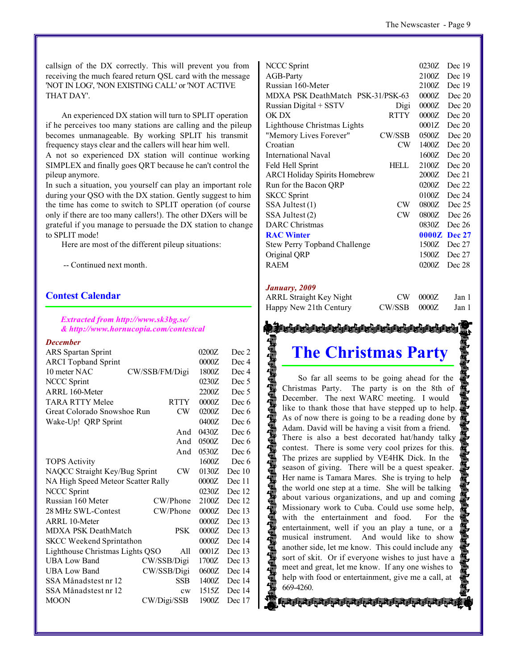callsign of the DX correctly. This will prevent you from receiving the much feared return QSL card with the message 'NOT IN LOG', 'NON EXISTING CALL' or 'NOT ACTIVE THAT DAY'.

An experienced DX station will turn to SPLIT operation if he perceives too many stations are calling and the pileup becomes unmanageable. By working SPLIT his transmit frequency stays clear and the callers will hear him well.

A not so experienced DX station will continue working SIMPLEX and finally goes QRT because he can't control the pileup anymore.

In such a situation, you yourself can play an important role during your QSO with the DX station. Gently suggest to him the time has come to switch to SPLIT operation (of course only if there are too many callers!). The other DXers will be grateful if you manage to persuade the DX station to change to SPLIT mode!

Here are most of the different pileup situations:

-- Continued next month.

#### **Contest Calendar**

#### *Extracted from http://www.sk3bg.se/ & http://www.hornucopia.com/contestcal*

#### *December*

|                                          | 0200Z | Dec 2  |
|------------------------------------------|-------|--------|
|                                          | 0000Z | Dec 4  |
| CW/SSB/FM/Digi                           | 1800Z | Dec 4  |
|                                          | 0230Z | Dec 5  |
|                                          | 2200Z | Dec 5  |
| <b>RTTY</b>                              | 0000Z | Dec 6  |
| CW<br>Great Colorado Snowshoe Run        | 0200Z | Dec 6  |
|                                          | 0400Z | Dec 6  |
| And                                      | 0430Z | Dec 6  |
| And                                      | 0500Z | Dec 6  |
| And                                      | 0530Z | Dec 6  |
|                                          | 1600Z | Dec 6  |
| NAQCC Straight Key/Bug Sprint<br>CW      | 0130Z | Dec 10 |
| NA High Speed Meteor Scatter Rally       | 0000Z | Dec 11 |
|                                          | 0230Z | Dec 12 |
| CW/Phone                                 | 2100Z | Dec 12 |
| CW/Phone                                 | 0000Z | Dec 13 |
|                                          | 0000Z | Dec 13 |
| <b>MDXA PSK DeathMatch</b><br><b>PSK</b> | 0000Z | Dec 13 |
| <b>SKCC</b> Weekend Sprintathon          | 0000Z | Dec 14 |
| Lighthouse Christmas Lights QSO<br>All   | 0001Z | Dec 13 |
| CW/SSB/Digi                              | 1700Z | Dec 13 |
| CW/SSB/Digi                              | 0600Z | Dec 14 |
| SSB                                      | 1400Z | Dec 14 |
| cw                                       | 1515Z | Dec 14 |
| CW/Digi/SSB                              | 1900Z | Dec 17 |
|                                          |       |        |

| <b>NCCC Sprint</b>                   |             | 0230Z | Dec 19       |
|--------------------------------------|-------------|-------|--------------|
| AGB-Party                            |             | 2100Z | Dec 19       |
| Russian 160-Meter                    |             | 2100Z | Dec 19       |
| MDXA PSK DeathMatch PSK-31/PSK-63    |             | 0000Z | Dec 20       |
| Russian Digital + SSTV               | Digi        | 0000Z | Dec 20       |
| OK DX                                | <b>RTTY</b> | 0000Z | Dec 20       |
| Lighthouse Christmas Lights          |             | 0001Z | Dec 20       |
| "Memory Lives Forever"               | CW/SSB      | 0500Z | Dec 20       |
| Croatian                             | CW          | 1400Z | Dec 20       |
| International Naval                  |             | 1600Z | Dec 20       |
| Feld Hell Sprint                     | HELL        | 2100Z | Dec 20       |
| <b>ARCI Holiday Spirits Homebrew</b> |             | 2000Z | Dec 21       |
| Run for the Bacon QRP                |             | 0200Z | Dec 22       |
| <b>SKCC Sprint</b>                   |             | 0100Z | Dec 24       |
| SSA Jultest (1)                      | CW          | 0800Z | Dec 25       |
| SSA Jultest (2)                      | CW          | 0800Z | Dec 26       |
| <b>DARC</b> Christmas                |             | 0830Z | Dec 26       |
| <b>RAC Winter</b>                    |             |       | 0000Z Dec 27 |
| <b>Stew Perry Topband Challenge</b>  |             | 1500Z | Dec 27       |
| Original QRP                         |             | 1500Z | Dec 27       |
| <b>RAEM</b>                          |             | 0200Z | Dec 28       |
|                                      |             |       |              |

#### *January, 2009*

| <b>ARRL Straight Key Night</b> |                | $CW$ 0000 $Z$ | Jan 1 |
|--------------------------------|----------------|---------------|-------|
| Happy New 21th Century         | $CW/SSB$ 0000Z |               | Jan 1 |

# ta arab arab arab arab ara **The Christmas Party**

So far all seems to be going ahead for the Christmas Party. The party is on the 8th of December. The next WARC meeting. I would like to thank those that have stepped up to help. As of now there is going to be a reading done by Adam. David will be having a visit from a friend. There is also a best decorated hat/handy talky contest. There is some very cool prizes for this. The prizes are supplied by VE4HK Dick. In the season of giving. There will be a quest speaker. Her name is Tamara Mares. She is trying to help the world one step at a time. She will be talking about various organizations, and up and coming Missionary work to Cuba. Could use some help, with the entertainment and food. For the entertainment, well if you an play a tune, or a musical instrument. And would like to show another side, let me know. This could include any sort of skit. Or if everyone wishes to just have a meet and great, let me know. If any one wishes to help with food or entertainment, give me a call, at 669-4260.

お病者病者病者病者病者病者病者病者病者病者